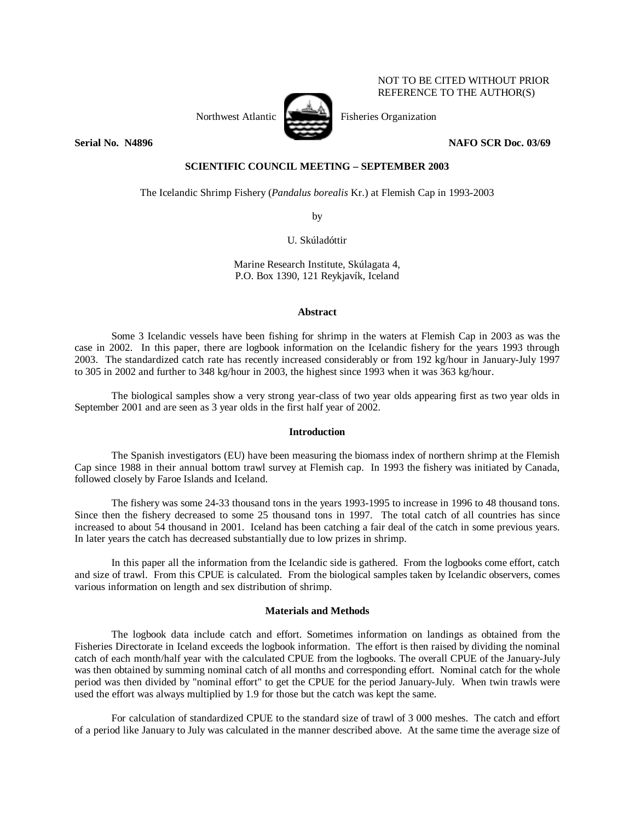

NOT TO BE CITED WITHOUT PRIOR REFERENCE TO THE AUTHOR(S)

# **Serial No. 14896** NAFO SCR Doc. 03/69

# **SCIENTIFIC COUNCIL MEETING – SEPTEMBER 2003**

The Icelandic Shrimp Fishery (*Pandalus borealis* Kr.) at Flemish Cap in 1993-2003

by

U. Skúladóttir

Marine Research Institute, Skúlagata 4, P.O. Box 1390, 121 Reykjavík, Iceland

## **Abstract**

 Some 3 Icelandic vessels have been fishing for shrimp in the waters at Flemish Cap in 2003 as was the case in 2002. In this paper, there are logbook information on the Icelandic fishery for the years 1993 through 2003. The standardized catch rate has recently increased considerably or from 192 kg/hour in January-July 1997 to 305 in 2002 and further to 348 kg/hour in 2003, the highest since 1993 when it was 363 kg/hour.

 The biological samples show a very strong year-class of two year olds appearing first as two year olds in September 2001 and are seen as 3 year olds in the first half year of 2002.

## **Introduction**

 The Spanish investigators (EU) have been measuring the biomass index of northern shrimp at the Flemish Cap since 1988 in their annual bottom trawl survey at Flemish cap. In 1993 the fishery was initiated by Canada, followed closely by Faroe Islands and Iceland.

The fishery was some 24-33 thousand tons in the years 1993-1995 to increase in 1996 to 48 thousand tons. Since then the fishery decreased to some 25 thousand tons in 1997. The total catch of all countries has since increased to about 54 thousand in 2001. Iceland has been catching a fair deal of the catch in some previous years. In later years the catch has decreased substantially due to low prizes in shrimp.

 In this paper all the information from the Icelandic side is gathered. From the logbooks come effort, catch and size of trawl. From this CPUE is calculated. From the biological samples taken by Icelandic observers, comes various information on length and sex distribution of shrimp.

# **Materials and Methods**

 The logbook data include catch and effort. Sometimes information on landings as obtained from the Fisheries Directorate in Iceland exceeds the logbook information. The effort is then raised by dividing the nominal catch of each month/half year with the calculated CPUE from the logbooks. The overall CPUE of the January-July was then obtained by summing nominal catch of all months and corresponding effort. Nominal catch for the whole period was then divided by "nominal effort" to get the CPUE for the period January-July. When twin trawls were used the effort was always multiplied by 1.9 for those but the catch was kept the same.

For calculation of standardized CPUE to the standard size of trawl of 3 000 meshes. The catch and effort of a period like January to July was calculated in the manner described above. At the same time the average size of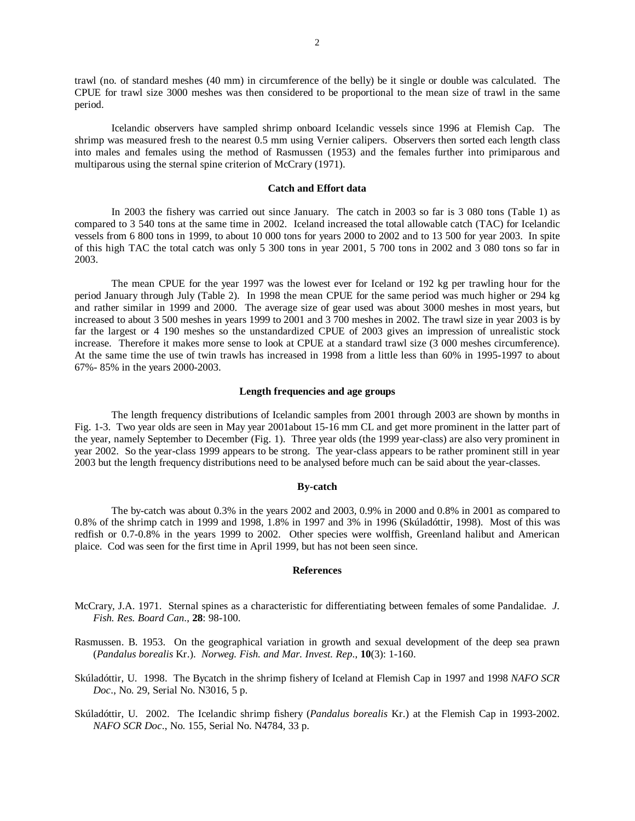trawl (no. of standard meshes (40 mm) in circumference of the belly) be it single or double was calculated. The CPUE for trawl size 3000 meshes was then considered to be proportional to the mean size of trawl in the same period.

 Icelandic observers have sampled shrimp onboard Icelandic vessels since 1996 at Flemish Cap. The shrimp was measured fresh to the nearest 0.5 mm using Vernier calipers. Observers then sorted each length class into males and females using the method of Rasmussen (1953) and the females further into primiparous and multiparous using the sternal spine criterion of McCrary (1971).

### **Catch and Effort data**

 In 2003 the fishery was carried out since January. The catch in 2003 so far is 3 080 tons (Table 1) as compared to 3 540 tons at the same time in 2002. Iceland increased the total allowable catch (TAC) for Icelandic vessels from 6 800 tons in 1999, to about 10 000 tons for years 2000 to 2002 and to 13 500 for year 2003. In spite of this high TAC the total catch was only 5 300 tons in year 2001, 5 700 tons in 2002 and 3 080 tons so far in 2003.

The mean CPUE for the year 1997 was the lowest ever for Iceland or 192 kg per trawling hour for the period January through July (Table 2). In 1998 the mean CPUE for the same period was much higher or 294 kg and rather similar in 1999 and 2000. The average size of gear used was about 3000 meshes in most years, but increased to about 3 500 meshes in years 1999 to 2001 and 3 700 meshes in 2002. The trawl size in year 2003 is by far the largest or 4 190 meshes so the unstandardized CPUE of 2003 gives an impression of unrealistic stock increase. Therefore it makes more sense to look at CPUE at a standard trawl size (3 000 meshes circumference). At the same time the use of twin trawls has increased in 1998 from a little less than 60% in 1995-1997 to about 67%- 85% in the years 2000-2003.

### **Length frequencies and age groups**

 The length frequency distributions of Icelandic samples from 2001 through 2003 are shown by months in Fig. 1-3. Two year olds are seen in May year 2001about 15-16 mm CL and get more prominent in the latter part of the year, namely September to December (Fig. 1). Three year olds (the 1999 year-class) are also very prominent in year 2002. So the year-class 1999 appears to be strong. The year-class appears to be rather prominent still in year 2003 but the length frequency distributions need to be analysed before much can be said about the year-classes.

### **By-catch**

The by-catch was about 0.3% in the years 2002 and 2003, 0.9% in 2000 and 0.8% in 2001 as compared to 0.8% of the shrimp catch in 1999 and 1998, 1.8% in 1997 and 3% in 1996 (Skúladóttir, 1998). Most of this was redfish or 0.7-0.8% in the years 1999 to 2002. Other species were wolffish, Greenland halibut and American plaice. Cod was seen for the first time in April 1999, but has not been seen since.

## **References**

- McCrary, J.A. 1971. Sternal spines as a characteristic for differentiating between females of some Pandalidae. *J. Fish. Res. Board Can*., **28**: 98-100.
- Rasmussen. B. 1953. On the geographical variation in growth and sexual development of the deep sea prawn (*Pandalus borealis* Kr.). *Norweg. Fish. and Mar. Invest. Rep*., **10**(3): 1-160.
- Skúladóttir, U. 1998. The Bycatch in the shrimp fishery of Iceland at Flemish Cap in 1997 and 1998 *NAFO SCR Doc*., No. 29, Serial No. N3016, 5 p.
- Skúladóttir, U. 2002. The Icelandic shrimp fishery (*Pandalus borealis* Kr.) at the Flemish Cap in 1993-2002. *NAFO SCR Doc*., No. 155, Serial No. N4784, 33 p.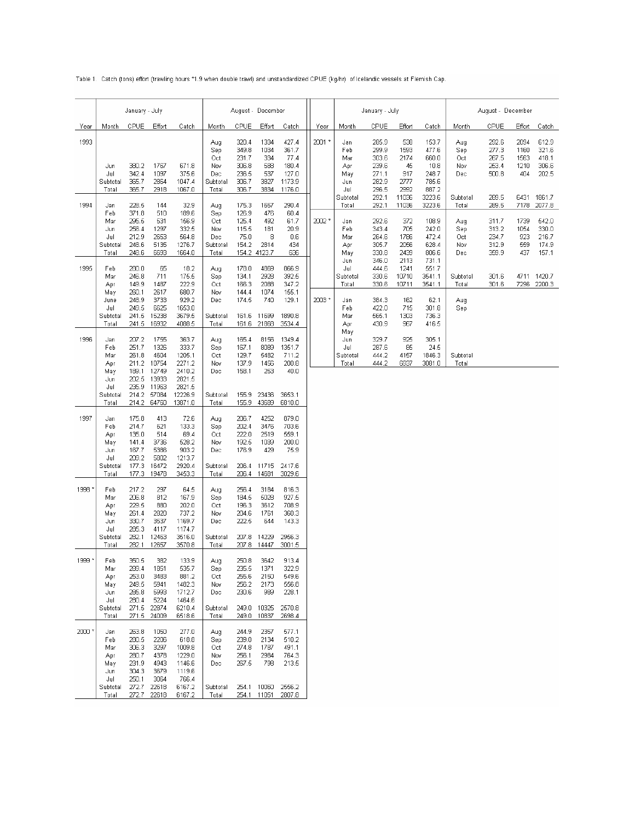Table 1. Catch (tons) effort (trawling hours \*1.9 when double trawl) and unstandardized CPUE (kg/hr) of Icelandic vessels at Flemish Cap.

|        | January - July                                                     |                                                                      |                                                                                    |                                                                                     | August - December                                    |                                                             |                                                                   |                                                               |        | January - July                                                              |                                                                                        |                                                                               | August - December                                                                         |                                             |                                                    |                                             |                                                     |
|--------|--------------------------------------------------------------------|----------------------------------------------------------------------|------------------------------------------------------------------------------------|-------------------------------------------------------------------------------------|------------------------------------------------------|-------------------------------------------------------------|-------------------------------------------------------------------|---------------------------------------------------------------|--------|-----------------------------------------------------------------------------|----------------------------------------------------------------------------------------|-------------------------------------------------------------------------------|-------------------------------------------------------------------------------------------|---------------------------------------------|----------------------------------------------------|---------------------------------------------|-----------------------------------------------------|
| Year   | Month                                                              | CPUE                                                                 | Effort                                                                             | Catch                                                                               | Month                                                | CPUE                                                        | Effort                                                            | Catch                                                         | Year   | Month                                                                       | CPUE                                                                                   | Effort                                                                        | Catch                                                                                     | Month                                       | CPUE                                               | Effort                                      | Catch                                               |
| 1993   | Jun<br>Jul<br>Subtotal<br>Total                                    | 380.2<br>342.4<br>365.7<br>365.7                                     | 1767<br>1097<br>2864<br>2918                                                       | 671.8<br>375.6<br>1047.4<br>1067.0                                                  | Aug<br>Sep<br>Oct<br>Nov<br>Dec<br>Subtotal<br>Total | 320.4<br>349.8<br>231.7<br>306.8<br>236.5<br>306.7<br>306.7 | 1334<br>1034<br>334<br>588<br>537<br>3827<br>3834                 | 427.4<br>361.7<br>77.4<br>180.4<br>127.0<br>1173.9<br>1176.0  | 2001 * | Jan<br>Feb<br>Mar<br>Apr<br>May<br>Jun<br>Jul<br>Subtotal                   | 285.9<br>299.9<br>303.6<br>239.6<br>271.1<br>282.9<br>296.5<br>292.1                   | 538<br>1593<br>2174<br>45<br>917<br>2777<br>2992<br>11036                     | 153.7<br>477.6<br>660.0<br>10.8<br>248.7<br>785.6<br>887.2<br>3223.6                      | Aug<br>Sep<br>Oct<br>Nov<br>Dec<br>Subtotal | 292.6<br>277.3<br>267.5<br>253.4<br>500.8<br>289.5 | 2094<br>1160<br>1563<br>1210<br>404<br>6431 | 612.9<br>321.6<br>418.1<br>306.6<br>202.5<br>1861.7 |
| 1994   | Jan<br>Feb<br>Mar<br>Jun<br>Jul<br>Subtotal<br>Total               | 228.5<br>371.8<br>295.5<br>256.4<br>212.9<br>248.6<br>248.6          | 144<br>510<br>531<br>1297<br>2653<br>5135<br>6693                                  | 32.9<br>189.6<br>156.9<br>332.5<br>564.8<br>1276.7<br>1664.0                        | Aug<br>Sep<br>Oct<br>Nov<br>Dec<br>Subtotal<br>Total | 175.3<br>126.9<br>125.4<br>115.5<br>75.0<br>154.2           | 1657<br>476<br>492<br>181<br>8<br>2814<br>154.2 4123.7            | 290.4<br>60.4<br>61.7<br>20.9<br>0.6<br>434<br>636            | 2002*  | Total<br>Jan<br>Feb<br>Mar<br>Apr<br>May<br>Jun<br>Jul<br>Subtotal<br>Total | 292.1<br>292.6<br>343.4<br>264.6<br>305.7<br>330.8<br>346.0<br>444.6<br>330.6<br>330.6 | 11036<br>372<br>705<br>1786<br>2056<br>2439<br>2113<br>1241<br>10710<br>10711 | 3223.6<br>108.9<br>242.0<br>472.4<br>628.4<br>806.6<br>731.1<br>551.7<br>3541.1<br>3541.1 | Total<br>Aug<br>Sep<br>Oct<br>Nov<br>Dec    | 289.5<br>311.7<br>313.2<br>234.7<br>312.9<br>359.9 | 7178<br>1739<br>1054<br>923<br>559<br>437   | 2077.8<br>542.0<br>330.0<br>216.7<br>174.9<br>157.1 |
| 1995   | Feb<br>Mar<br>Apr                                                  | 280.0<br>246.8<br>149.9                                              | 65<br>711<br>1487<br>680.7<br>260.1<br>2617<br>3733<br>6625<br>15238<br>16932      | 18.2<br>175.5<br>222.9                                                              | Aug<br>Sep<br>Oct                                    | 178.0<br>134.1<br>166.3                                     | 4869<br>2928<br>2088                                              | 866.9<br>392.5<br>347.2                                       |        |                                                                             |                                                                                        |                                                                               |                                                                                           | Subtotal<br>Total                           | 301.6<br>301.6                                     | 4711<br>7296                                | 1420.7<br>2200.3                                    |
|        | Maγ<br>June<br>Jul<br>Subtotal<br>Total                            | 248.9<br>249.5<br>241.5<br>241.5                                     |                                                                                    | 929.2<br>1653.0<br>3679.5<br>4088.5                                                 | Nov<br>Dec<br>Subtotal<br>Total                      | 144.4<br>174.5<br>161.6<br>161.6                            | 1074<br>740<br>11699<br>21868                                     | 155.1<br>129.1<br>1890.8<br>3534.4                            | 2003 * | Jan<br>Feb<br>Mar<br>Apr<br>May<br>Jun<br>Jul<br>Subtotal<br>Total          | 384.3<br>422.0<br>565.1<br>430.9                                                       | 162<br>715<br>1303<br>967                                                     | 62.1<br>301.8<br>736.3<br>416.5                                                           | Aug<br>Sep                                  |                                                    |                                             |                                                     |
| 1996   | Jan<br>Feb<br>Mar<br>Apr<br>May                                    | 207.2<br>251.7<br>261.8<br>211.2<br>189.1                            | 1755<br>1326<br>4604<br>10754<br>12749                                             | 363.7<br>333.7<br>1205.1<br>2271.2<br>2410.2                                        | Aug<br>Sep<br>Oct<br>Nov<br>Dec                      | 165.4<br>167.1<br>129.7<br>137.9<br>158.1                   | 8156<br>8089<br>5482<br>1456<br>253                               | 1349.4<br>1351.7<br>711.2<br>200.8<br>40.0                    |        |                                                                             | 329.7<br>287.6<br>444.2<br>444.2                                                       | 925<br>85<br>4157<br>6937                                                     | 305.1<br>24.5<br>1846.3<br>3081.0                                                         | Subtotal<br>Total                           |                                                    |                                             |                                                     |
|        | Jun<br>Jul<br>Subtotal<br>Total                                    | 202.5<br>235.9<br>214.2<br>214.2                                     | 13933<br>11963<br>57084<br>64760                                                   | 2821.5<br>2821.5<br>12226.9<br>13871.0                                              | Subtotal<br>Total                                    | 155.9<br>155.9                                              | 23436<br>43689                                                    | 3653.1<br>6810.0                                              |        |                                                                             |                                                                                        |                                                                               |                                                                                           |                                             |                                                    |                                             |                                                     |
| 1997   | Jan<br>Feb<br>Apr<br>May<br>Jun<br>Jul<br>Subtotal<br>Total        | 175.8<br>214.7<br>135.0<br>141.4<br>167.7<br>209.2<br>177.3<br>177.3 | 413<br>621<br>514<br>3736<br>5386<br>5802<br>16472<br>19478                        | 72.6<br>133.3<br>69.4<br>528.2<br>903.2<br>1213.7<br>2920.4<br>3453.3               | Aug<br>Sep<br>Oct<br>Nov<br>Dec<br>Subtotal<br>Total | 206.7<br>202.4<br>222.0<br>192.5<br>176.9<br>206.4<br>206.4 | 4252<br>3476<br>2519<br>1039<br>429<br>11715<br>14681             | 879.0<br>703.6<br>559.1<br>200.0<br>75.9<br>2417.6<br>3029.6  |        |                                                                             |                                                                                        |                                                                               |                                                                                           |                                             |                                                    |                                             |                                                     |
| 1998 * | Feb<br>Mar<br>Apr<br>May<br>Jun<br>Jul<br>Subtotal<br>Total        | 217.2<br>206.8<br>229.5<br>261.4<br>330.7<br>285.3<br>282.1<br>282.1 | 297<br>812<br>880<br>2820<br>3537<br>4117<br>12463<br>12657                        | 64.5<br>167.9<br>202.0<br>737.2<br>1169.7<br>1174.7<br>3516.0<br>3570.8             | Aug<br>Sep<br>Oct<br>Nov<br>Dec<br>Subtotal<br>Total | 256.4<br>184.5<br>196.3<br>204.6<br>222.5<br>207.8          | 3184<br>5028<br>3612<br>1761<br>644<br>14229<br>207.8 14447       | 816.3<br>927.5<br>708.9<br>360.3<br>143.3<br>2956.3<br>3001.5 |        |                                                                             |                                                                                        |                                                                               |                                                                                           |                                             |                                                    |                                             |                                                     |
| 1999 * | Feb<br>Mar<br>Apr<br>May<br>Jun<br>Jul<br>Subtotal<br>Total        | 350.5<br>289.4<br>253.0<br>249.5<br>285.8<br>280.4<br>271.5          | 382<br>1851<br>3483<br>5941<br>5993<br>5224<br>271.5 22874<br>24009                | 133.9<br>535.7<br>881.2<br>1482.3<br>1712.7<br>1464.6<br>6210.4<br>6518.6           | Aug<br>Sep<br>Oct<br>Nov<br>Dec<br>Subtotal<br>Total | 250.8<br>235.5<br>255.6<br>256.2<br>230.6                   | 3642<br>1371<br>2150<br>2173<br>989<br>249.0 10325<br>249.0 10837 | 913.4<br>322.9<br>549.6<br>556.8<br>228.1<br>2570.8<br>2698.4 |        |                                                                             |                                                                                        |                                                                               |                                                                                           |                                             |                                                    |                                             |                                                     |
| 2000 * | Jan<br>Feb<br>Mar<br>Apr<br>May<br>Jun<br>Jul<br>Subtotal<br>Total | 263.8<br>280.5<br>306.3<br>280.7<br>231.9<br>304.3<br>250.1          | 1050<br>2206<br>3297<br>4378<br>4943<br>3679<br>3064<br>272.7 22618<br>272.7 22618 | 277.0<br>618.8<br>1009.8<br>1229.0<br>1146.6<br>1119.6<br>766.4<br>6167.2<br>6167.2 | Aug<br>Sep<br>Oct<br>Nov<br>Dec<br>Subtotal<br>Total | 244.9<br>239.0<br>274.8<br>256.1<br>267.5                   | 2357<br>2134<br>1787<br>2984<br>798<br>254.1 10060<br>254.1 11051 | 577.1<br>510.2<br>491.1<br>764.3<br>213.5<br>2556.2<br>2807.8 |        |                                                                             |                                                                                        |                                                                               |                                                                                           |                                             |                                                    |                                             |                                                     |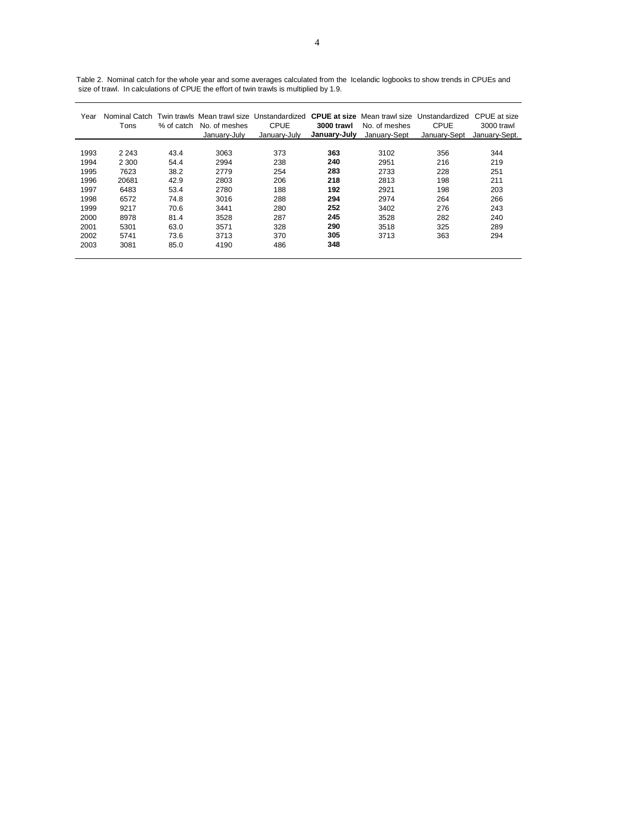| Year | Nominal Catch<br>Tons | % of catch | No. of meshes<br>January-July | Twin trawls Mean trawl size Unstandardized<br>CPUE<br>January-July | 3000 trawl<br>January-July | No. of meshes<br>January-Sept | <b>CPUE at size</b> Mean trawl size Unstandardized<br>CPUE<br>January-Sept | CPUE at size<br>3000 trawl<br>January-Sept. |
|------|-----------------------|------------|-------------------------------|--------------------------------------------------------------------|----------------------------|-------------------------------|----------------------------------------------------------------------------|---------------------------------------------|
|      |                       |            |                               |                                                                    |                            |                               |                                                                            |                                             |
| 1993 | 2 2 4 3               | 43.4       | 3063                          | 373                                                                | 363                        | 3102                          | 356                                                                        | 344                                         |
| 1994 | 2 300                 | 54.4       | 2994                          | 238                                                                | 240                        | 2951                          | 216                                                                        | 219                                         |
| 1995 | 7623                  | 38.2       | 2779                          | 254                                                                | 283                        | 2733                          | 228                                                                        | 251                                         |
| 1996 | 20681                 | 42.9       | 2803                          | 206                                                                | 218                        | 2813                          | 198                                                                        | 211                                         |
| 1997 | 6483                  | 53.4       | 2780                          | 188                                                                | 192                        | 2921                          | 198                                                                        | 203                                         |
| 1998 | 6572                  | 74.8       | 3016                          | 288                                                                | 294                        | 2974                          | 264                                                                        | 266                                         |
| 1999 | 9217                  | 70.6       | 3441                          | 280                                                                | 252                        | 3402                          | 276                                                                        | 243                                         |
| 2000 | 8978                  | 81.4       | 3528                          | 287                                                                | 245                        | 3528                          | 282                                                                        | 240                                         |
| 2001 | 5301                  | 63.0       | 3571                          | 328                                                                | 290                        | 3518                          | 325                                                                        | 289                                         |
| 2002 | 5741                  | 73.6       | 3713                          | 370                                                                | 305                        | 3713                          | 363                                                                        | 294                                         |
| 2003 | 3081                  | 85.0       | 4190                          | 486                                                                | 348                        |                               |                                                                            |                                             |

Table 2. Nominal catch for the whole year and some averages calculated from the Icelandic logbooks to show trends in CPUEs and size of trawl. In calculations of CPUE the effort of twin trawls is multiplied by 1.9.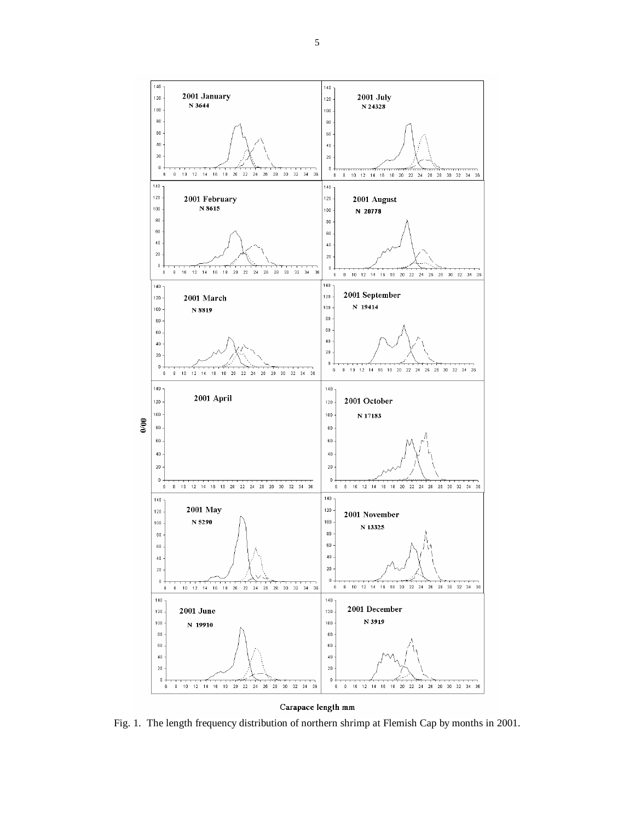

# Carapace length mm

Fig. 1. The length frequency distribution of northern shrimp at Flemish Cap by months in 2001.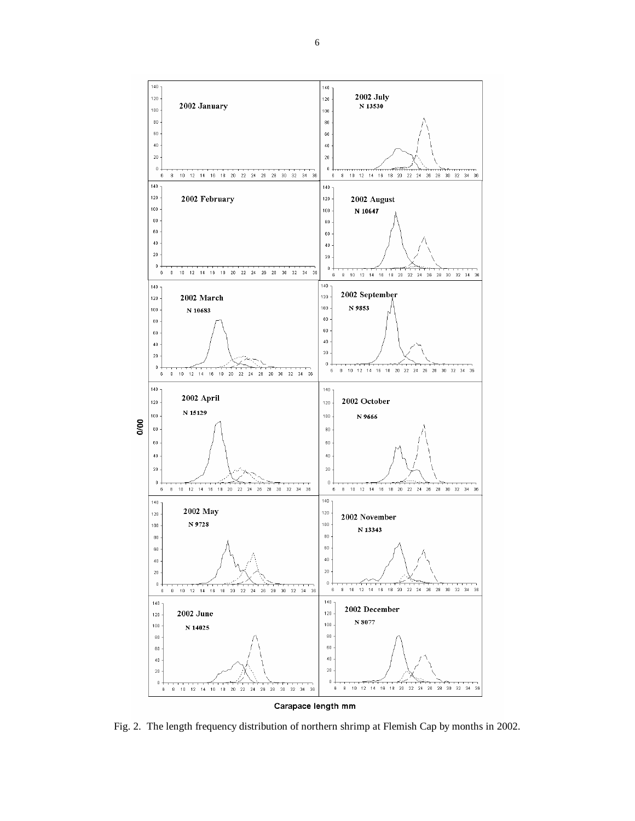

Fig. 2. The length frequency distribution of northern shrimp at Flemish Cap by months in 2002.